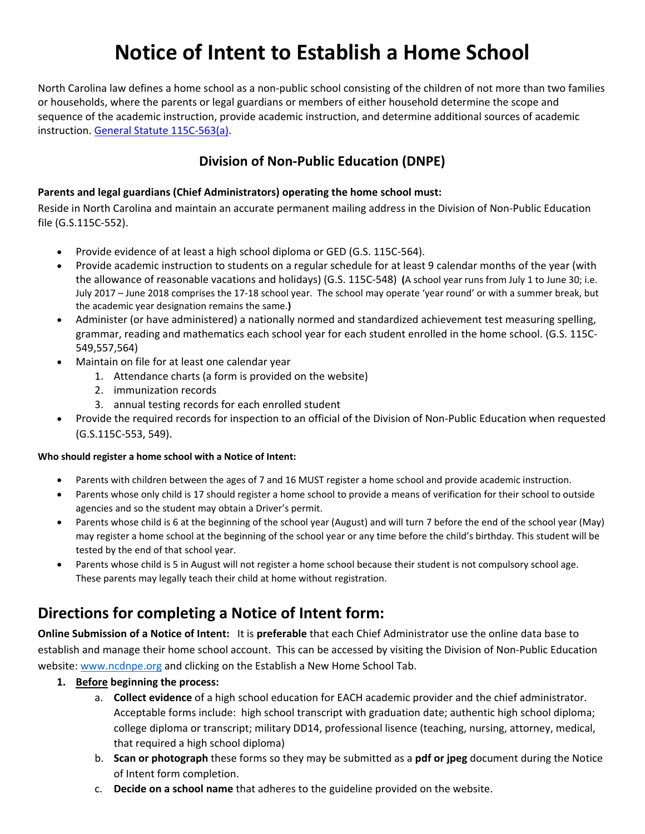# **Notice of Intent to Establish a Home School**

North Carolina law defines a home school as a non‐public school consisting of the children of not more than two families or households, where the parents or legal guardians or members of either household determine the scope and sequence of the academic instruction, provide academic instruction, and determine additional sources of academic instruction. General Statute 115C‐563(a).

### **Division of Non‐Public Education (DNPE)**

#### **Parents and legal guardians (Chief Administrators) operating the home school must:**

Reside in North Carolina and maintain an accurate permanent mailing address in the Division of Non‐Public Education file (G.S.115C‐552).

- Provide evidence of at least a high school diploma or GED (G.S. 115C-564).
- Provide academic instruction to students on a regular schedule for at least 9 calendar months of the year (with the allowance of reasonable vacations and holidays) (G.S. 115C‐548) **(**A school year runs from July 1 to June 30; i.e. July 2017 – June 2018 comprises the 17‐18 school year. The school may operate 'year round' or with a summer break, but the academic year designation remains the same.**)**
- Administer (or have administered) a nationally normed and standardized achievement test measuring spelling, grammar, reading and mathematics each school year for each student enrolled in the home school. (G.S. 115C‐ 549,557,564)
- Maintain on file for at least one calendar year
	- 1. Attendance charts (a form is provided on the website)
	- 2. immunization records
	- 3. annual testing records for each enrolled student
- Provide the required records for inspection to an official of the Division of Non‐Public Education when requested (G.S.115C‐553, 549).

#### **Who should register a home school with a Notice of Intent:**

- Parents with children between the ages of 7 and 16 MUST register a home school and provide academic instruction.
- Parents whose only child is 17 should register a home school to provide a means of verification for their school to outside agencies and so the student may obtain a Driver's permit.
- Parents whose child is 6 at the beginning of the school year (August) and will turn 7 before the end of the school year (May) may register a home school at the beginning of the school year or any time before the child's birthday. This student will be tested by the end of that school year.
- Parents whose child is 5 in August will not register a home school because their student is not compulsory school age. These parents may legally teach their child at home without registration.

## **Directions for completing a Notice of Intent form:**

**Online Submission of a Notice of Intent:** It is **preferable** that each Chief Administrator use the online data base to establish and manage their home school account. This can be accessed by visiting the Division of Non‐Public Education website: www.ncdnpe.org and clicking on the Establish a New Home School Tab.

- **1. Before beginning the process:** 
	- a. **Collect evidence** of a high school education for EACH academic provider and the chief administrator. Acceptable forms include: high school transcript with graduation date; authentic high school diploma; college diploma or transcript; military DD14, professional lisence (teaching, nursing, attorney, medical, that required a high school diploma)
	- b. **Scan or photograph** these forms so they may be submitted as a **pdf or jpeg** document during the Notice of Intent form completion.
	- c. **Decide on a school name** that adheres to the guideline provided on the website.